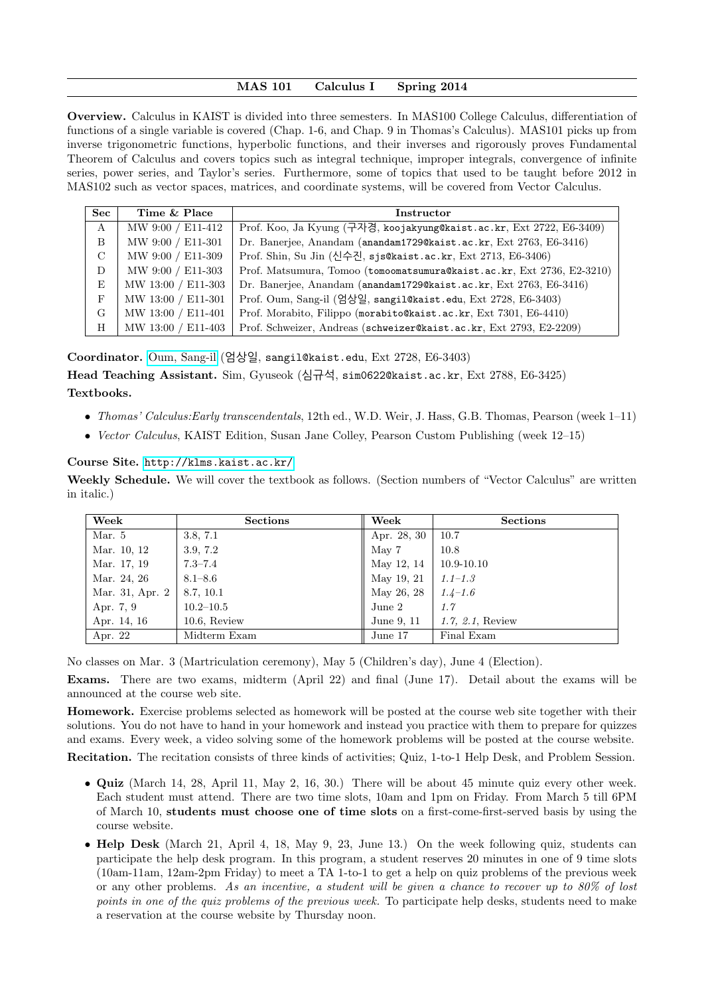## MAS 101 Calculus I Spring 2014

Overview. Calculus in KAIST is divided into three semesters. In MAS100 College Calculus, differentiation of functions of a single variable is covered (Chap. 1-6, and Chap. 9 in Thomas's Calculus). MAS101 picks up from inverse trigonometric functions, hyperbolic functions, and their inverses and rigorously proves Fundamental Theorem of Calculus and covers topics such as integral technique, improper integrals, convergence of infinite series, power series, and Taylor's series. Furthermore, some of topics that used to be taught before 2012 in MAS102 such as vector spaces, matrices, and coordinate systems, will be covered from Vector Calculus.

| <b>Sec</b> | Time & Place       | Instructor                                                             |  |  |
|------------|--------------------|------------------------------------------------------------------------|--|--|
| A          | MW 9:00 / E11-412  | Prof. Koo, Ja Kyung (구자경, koojakyung@kaist.ac.kr, Ext 2722, E6-3409)   |  |  |
| B          | MW 9:00 / E11-301  | Dr. Banerjee, Anandam (anandam1729@kaist.ac.kr, Ext 2763, E6-3416)     |  |  |
| C          | MW 9:00 / E11-309  | Prof. Shin, Su Jin (신수진, sjs@kaist.ac.kr, Ext 2713, E6-3406)           |  |  |
| D          | MW 9:00 / E11-303  | Prof. Matsumura, Tomoo (tomoomatsumura@kaist.ac.kr, Ext 2736, E2-3210) |  |  |
| E          | MW 13:00 / E11-303 | Dr. Banerjee, Anandam (anandam1729@kaist.ac.kr, Ext 2763, E6-3416)     |  |  |
| F          | MW 13:00 / E11-301 | Prof. Oum, Sang-il (엄상일, sangil@kaist.edu, Ext 2728, E6-3403)          |  |  |
| G          | MW 13:00 / E11-401 | Prof. Morabito, Filippo (morabito@kaist.ac.kr, Ext 7301, E6-4410)      |  |  |
| H          | MW 13:00 / E11-403 | Prof. Schweizer, Andreas (schweizer@kaist.ac.kr, Ext 2793, E2-2209)    |  |  |

Coordinator. [Oum, Sang-il](http://mathsci.kaist.ac.kr/~sangil/) (엄상일, sangil@kaist.edu, Ext 2728, E6-3403) Head Teaching Assistant. Sim, Gyuseok (심규석, sim0622@kaist.ac.kr, Ext 2788, E6-3425) Textbooks.

- Thomas' Calculus:Early transcendentals, 12th ed., W.D. Weir, J. Hass, G.B. Thomas, Pearson (week 1–11)
- Vector Calculus, KAIST Edition, Susan Jane Colley, Pearson Custom Publishing (week 12–15)

## Course Site. <http://klms.kaist.ac.kr/>

Weekly Schedule. We will cover the textbook as follows. (Section numbers of "Vector Calculus" are written in italic.)

| Week            | <b>Sections</b> | Week        | <b>Sections</b>  |
|-----------------|-----------------|-------------|------------------|
| Mar. 5          | 3.8, 7.1        | Apr. 28, 30 | 10.7             |
| Mar. 10, 12     | 3.9, 7.2        | May 7       | 10.8             |
| Mar. 17, 19     | $7.3 - 7.4$     | May 12, 14  | $10.9 - 10.10$   |
| Mar. 24, 26     | $8.1 - 8.6$     | May 19, 21  | $1.1 - 1.3$      |
| Mar. 31, Apr. 2 | 8.7, 10.1       | May 26, 28  | $1.4 - 1.6$      |
| Apr. 7, 9       | $10.2 - 10.5$   | June 2      | 1.7              |
| Apr. 14, 16     | 10.6, Review    | June 9, 11  | 1.7, 2.1, Review |
| Apr. 22         | Midterm Exam    | June 17     | Final Exam       |

No classes on Mar. 3 (Martriculation ceremony), May 5 (Children's day), June 4 (Election).

Exams. There are two exams, midterm (April 22) and final (June 17). Detail about the exams will be announced at the course web site.

Homework. Exercise problems selected as homework will be posted at the course web site together with their solutions. You do not have to hand in your homework and instead you practice with them to prepare for quizzes and exams. Every week, a video solving some of the homework problems will be posted at the course website. Recitation. The recitation consists of three kinds of activities; Quiz, 1-to-1 Help Desk, and Problem Session.

- Quiz (March 14, 28, April 11, May 2, 16, 30.) There will be about 45 minute quiz every other week. Each student must attend. There are two time slots, 10am and 1pm on Friday. From March 5 till 6PM of March 10, students must choose one of time slots on a first-come-first-served basis by using the course website.
- Help Desk (March 21, April 4, 18, May 9, 23, June 13.) On the week following quiz, students can participate the help desk program. In this program, a student reserves 20 minutes in one of 9 time slots (10am-11am, 12am-2pm Friday) to meet a TA 1-to-1 to get a help on quiz problems of the previous week or any other problems. As an incentive, a student will be given a chance to recover up to 80% of lost points in one of the quiz problems of the previous week. To participate help desks, students need to make a reservation at the course website by Thursday noon.